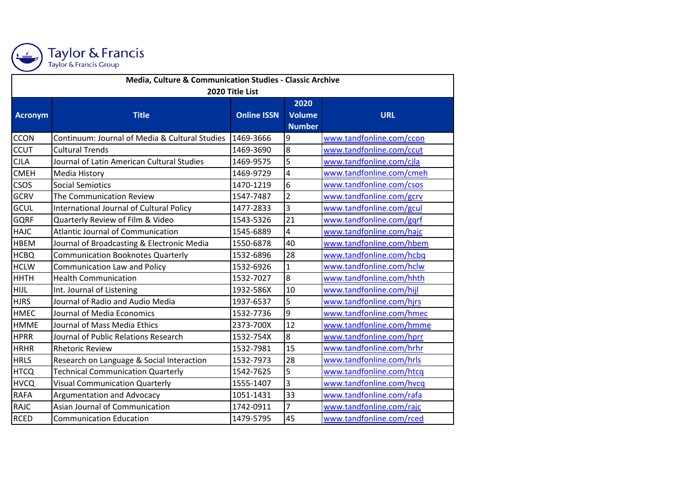

Taylor & Francis<br>Taylor & Francis Group

| Media, Culture & Communication Studies - Classic Archive |                                                |                    |                         |                          |  |  |  |
|----------------------------------------------------------|------------------------------------------------|--------------------|-------------------------|--------------------------|--|--|--|
| 2020 Title List                                          |                                                |                    |                         |                          |  |  |  |
|                                                          |                                                |                    | 2020                    |                          |  |  |  |
| Acronym                                                  | <b>Title</b>                                   | <b>Online ISSN</b> | Volume                  | <b>URL</b>               |  |  |  |
|                                                          |                                                |                    | <b>Number</b>           |                          |  |  |  |
| <b>CCON</b>                                              | Continuum: Journal of Media & Cultural Studies | 1469-3666          | 9                       | www.tandfonline.com/ccon |  |  |  |
| <b>CCUT</b>                                              | <b>Cultural Trends</b>                         | 1469-3690          | 8                       | www.tandfonline.com/ccut |  |  |  |
| <b>CJLA</b>                                              | Journal of Latin American Cultural Studies     | 1469-9575          | 5                       | www.tandfonline.com/cjla |  |  |  |
| <b>CMEH</b>                                              | Media History                                  | 1469-9729          | 4                       | www.tandfonline.com/cmeh |  |  |  |
| <b>CSOS</b>                                              | <b>Social Semiotics</b>                        | 1470-1219          | 6                       | www.tandfonline.com/csos |  |  |  |
| <b>GCRV</b>                                              | The Communication Review                       | 1547-7487          | $\overline{2}$          | www.tandfonline.com/gcrv |  |  |  |
| GCUL                                                     | International Journal of Cultural Policy       | 1477-2833          | $\overline{3}$          | www.tandfonline.com/gcul |  |  |  |
| <b>GQRF</b>                                              | Quarterly Review of Film & Video               | 1543-5326          | 21                      | www.tandfonline.com/gqrf |  |  |  |
| <b>HAJC</b>                                              | <b>Atlantic Journal of Communication</b>       | 1545-6889          | $\overline{\mathbf{4}}$ | www.tandfonline.com/hajc |  |  |  |
| <b>HBEM</b>                                              | Journal of Broadcasting & Electronic Media     | 1550-6878          | 40                      | www.tandfonline.com/hbem |  |  |  |
| <b>HCBQ</b>                                              | <b>Communication Booknotes Quarterly</b>       | 1532-6896          | 28                      | www.tandfonline.com/hcbq |  |  |  |
| <b>HCLW</b>                                              | Communication Law and Policy                   | 1532-6926          | $\mathbf{1}$            | www.tandfonline.com/hclw |  |  |  |
| <b>HHTH</b>                                              | <b>Health Communication</b>                    | 1532-7027          | 8                       | www.tandfonline.com/hhth |  |  |  |
| <b>HIJL</b>                                              | Int. Journal of Listening                      | 1932-586X          | 10                      | www.tandfonline.com/hijl |  |  |  |
| <b>HJRS</b>                                              | Journal of Radio and Audio Media               | 1937-6537          | 5                       | www.tandfonline.com/hjrs |  |  |  |
| <b>HMEC</b>                                              | Journal of Media Economics                     | 1532-7736          | 9                       | www.tandfonline.com/hmec |  |  |  |
| <b>HMME</b>                                              | Journal of Mass Media Ethics                   | 2373-700X          | 12                      | www.tandfonline.com/hmme |  |  |  |
| <b>HPRR</b>                                              | Journal of Public Relations Research           | 1532-754X          | 8                       | www.tandfonline.com/hprr |  |  |  |
| <b>HRHR</b>                                              | <b>Rhetoric Review</b>                         | 1532-7981          | 15                      | www.tandfonline.com/hrhr |  |  |  |
| <b>HRLS</b>                                              | Research on Language & Social Interaction      | 1532-7973          | 28                      | www.tandfonline.com/hrls |  |  |  |
| <b>HTCQ</b>                                              | <b>Technical Communication Quarterly</b>       | 1542-7625          | 5                       | www.tandfonline.com/htcq |  |  |  |
| <b>HVCQ</b>                                              | <b>Visual Communication Quarterly</b>          | 1555-1407          | $\overline{3}$          | www.tandfonline.com/hvcq |  |  |  |
| <b>RAFA</b>                                              | Argumentation and Advocacy                     | 1051-1431          | 33                      | www.tandfonline.com/rafa |  |  |  |
| <b>RAJC</b>                                              | Asian Journal of Communication                 | 1742-0911          | 7                       | www.tandfonline.com/rajc |  |  |  |
| <b>RCED</b>                                              | <b>Communication Education</b>                 | 1479-5795          | 45                      | www.tandfonline.com/rced |  |  |  |